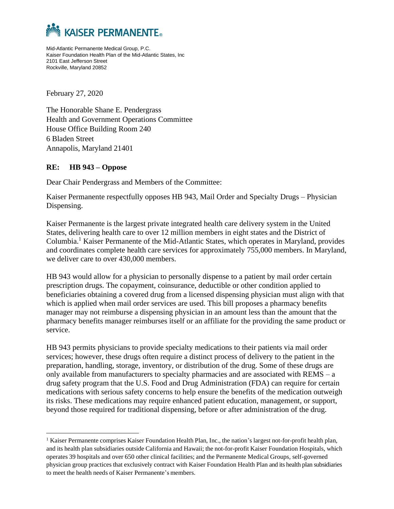

Mid-Atlantic Permanente Medical Group, P.C. Kaiser Foundation Health Plan of the Mid-Atlantic States, Inc 2101 East Jefferson Street Rockville, Maryland 20852

February 27, 2020

The Honorable Shane E. Pendergrass Health and Government Operations Committee House Office Building Room 240 6 Bladen Street Annapolis, Maryland 21401

## **RE: HB 943 – Oppose**

Dear Chair Pendergrass and Members of the Committee:

Kaiser Permanente respectfully opposes HB 943, Mail Order and Specialty Drugs – Physician Dispensing.

Kaiser Permanente is the largest private integrated health care delivery system in the United States, delivering health care to over 12 million members in eight states and the District of Columbia.<sup>1</sup> Kaiser Permanente of the Mid-Atlantic States, which operates in Maryland, provides and coordinates complete health care services for approximately 755,000 members. In Maryland, we deliver care to over 430,000 members.

HB 943 would allow for a physician to personally dispense to a patient by mail order certain prescription drugs. The copayment, coinsurance, deductible or other condition applied to beneficiaries obtaining a covered drug from a licensed dispensing physician must align with that which is applied when mail order services are used. This bill proposes a pharmacy benefits manager may not reimburse a dispensing physician in an amount less than the amount that the pharmacy benefits manager reimburses itself or an affiliate for the providing the same product or service.

HB 943 permits physicians to provide specialty medications to their patients via mail order services; however, these drugs often require a distinct process of delivery to the patient in the preparation, handling, storage, inventory, or distribution of the drug. Some of these drugs are only available from manufacturers to specialty pharmacies and are associated with  $REMS - a$ drug safety program that the U.S. Food and Drug Administration (FDA) can require for certain medications with serious safety concerns to help ensure the benefits of the medication outweigh its risks. These medications may require enhanced patient education, management, or support, beyond those required for traditional dispensing, before or after administration of the drug.

<sup>1</sup> Kaiser Permanente comprises Kaiser Foundation Health Plan, Inc., the nation's largest not-for-profit health plan, and its health plan subsidiaries outside California and Hawaii; the not-for-profit Kaiser Foundation Hospitals, which operates 39 hospitals and over 650 other clinical facilities; and the Permanente Medical Groups, self-governed physician group practices that exclusively contract with Kaiser Foundation Health Plan and its health plan subsidiaries to meet the health needs of Kaiser Permanente's members.